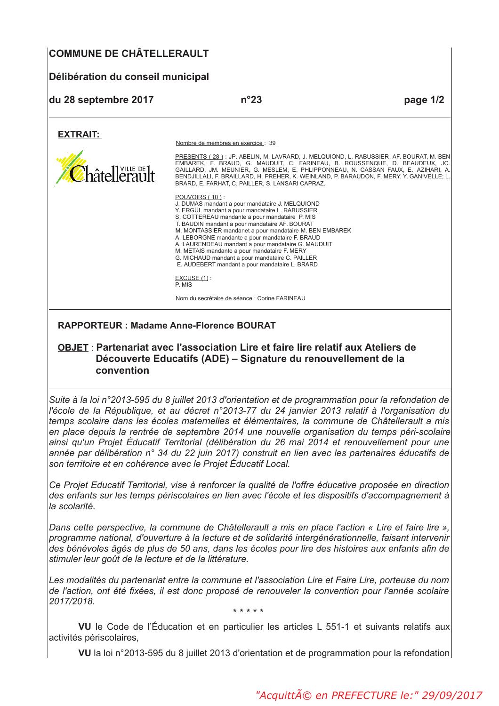# **COMMUNE DE CHÂTELLERAULT**

# Délibération du conseil municipal

| du 28 septembre 2017 | $n^{\circ}23$                                                                                                                                                                                                                                                                                                                                                                                                                                                                                                                                     | page 1/2 |
|----------------------|---------------------------------------------------------------------------------------------------------------------------------------------------------------------------------------------------------------------------------------------------------------------------------------------------------------------------------------------------------------------------------------------------------------------------------------------------------------------------------------------------------------------------------------------------|----------|
| <b>EXTRAIT:</b>      |                                                                                                                                                                                                                                                                                                                                                                                                                                                                                                                                                   |          |
|                      | Nombre de membres en exercice : 39                                                                                                                                                                                                                                                                                                                                                                                                                                                                                                                |          |
| Châtellerault        | PRESENTS (28): JP. ABELIN, M. LAVRARD, J. MELQUIOND, L. RABUSSIER, AF. BOURAT, M. BEN<br>EMBAREK, F. BRAUD, G. MAUDUIT, C. FARINEAU, B. ROUSSENQUE, D. BEAUDEUX, JC.<br>GAILLARD, JM. MEUNIER, G. MESLEM, E. PHLIPPONNEAU, N. CASSAN FAUX, E. AZIHARI, A.<br>BENDJILLALI, F. BRAILLARD, H. PREHER, K. WEINLAND, P. BARAUDON, F. MERY, Y. GANIVELLE; L.<br>BRARD, E. FARHAT, C. PAILLER, S. LANSARI CAPRAZ.                                                                                                                                        |          |
|                      | POUVOIRS (10):<br>J. DUMAS mandant a pour mandataire J. MELQUIOND<br>Y. ERGÜL mandant a pour mandataire L. RABUSSIER<br>S. COTTEREAU mandante a pour mandataire P. MIS<br>T. BAUDIN mandant a pour mandataire AF. BOURAT<br>M. MONTASSIER mandanet a pour mandataire M. BEN EMBAREK<br>A. LEBORGNE mandante a pour mandataire F. BRAUD<br>A. LAURENDEAU mandant a pour mandataire G. MAUDUIT<br>M. METAIS mandante a pour mandataire F. MERY<br>G. MICHAUD mandant a pour mandataire C. PAILLER<br>E. AUDEBERT mandant a pour mandataire L. BRARD |          |
|                      | $EXCUSE(1)$ :<br>P. MIS                                                                                                                                                                                                                                                                                                                                                                                                                                                                                                                           |          |
|                      | Nom du secrétaire de séance : Corine FARINEAU                                                                                                                                                                                                                                                                                                                                                                                                                                                                                                     |          |
|                      |                                                                                                                                                                                                                                                                                                                                                                                                                                                                                                                                                   |          |

**RAPPORTEUR: Madame Anne-Florence BOURAT** 

### OBJET : Partenariat avec l'association Lire et faire lire relatif aux Ateliers de Découverte Educatifs (ADE) - Signature du renouvellement de la convention

Suite à la loi n°2013-595 du 8 juillet 2013 d'orientation et de programmation pour la refondation de l'école de la République, et au décret n°2013-77 du 24 janvier 2013 relatif à l'organisation du temps scolaire dans les écoles maternelles et élémentaires, la commune de Châtellerault a mis en place depuis la rentrée de septembre 2014 une nouvelle organisation du temps péri-scolaire ainsi qu'un Projet Éducatif Territorial (délibération du 26 mai 2014 et renouvellement pour une année par délibération n° 34 du 22 juin 2017) construit en lien avec les partenaires éducatifs de son territoire et en cohérence avec le Projet Éducatif Local.

Ce Proiet Educatif Territorial, vise à renforcer la qualité de l'offre éducative proposée en direction des enfants sur les temps périscolaires en lien avec l'école et les dispositifs d'accompagnement à la scolarité.

Dans cette perspective, la commune de Châtellerault a mis en place l'action « Lire et faire lire ». programme national, d'ouverture à la lecture et de solidarité intergénérationnelle, faisant intervenir des bénévoles âgés de plus de 50 ans, dans les écoles pour lire des histoires aux enfants afin de stimuler leur goût de la lecture et de la littérature.

Les modalités du partenariat entre la commune et l'association Lire et Faire Lire, porteuse du nom de l'action, ont été fixées, il est donc proposé de renouveler la convention pour l'année scolaire 2017/2018.

\* \* \* \* \*

VU le Code de l'Éducation et en particulier les articles L 551-1 et suivants relatifs aux activités périscolaires.

VU la loi n°2013-595 du 8 juillet 2013 d'orientation et de programmation pour la refondation